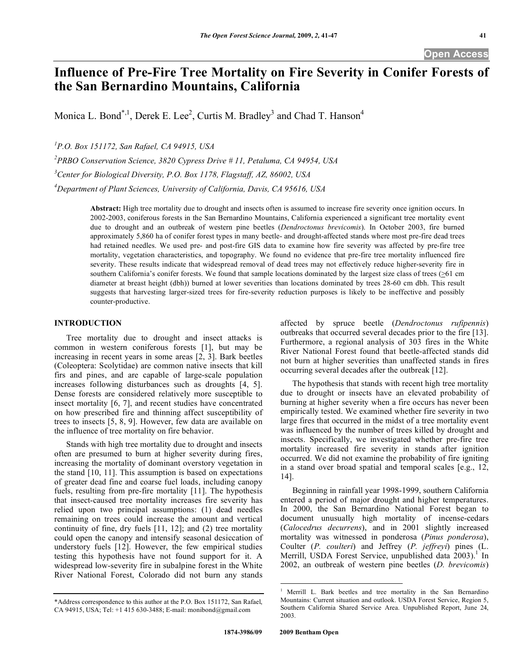# **Influence of Pre-Fire Tree Mortality on Fire Severity in Conifer Forests of the San Bernardino Mountains, California**

Monica L. Bond<sup>\*,1</sup>, Derek E. Lee<sup>2</sup>, Curtis M. Bradley<sup>3</sup> and Chad T. Hanson<sup>4</sup>

*1 P.O. Box 151172, San Rafael, CA 94915, USA* 

*2 PRBO Conservation Science, 3820 Cypress Drive # 11, Petaluma, CA 94954, USA* 

*3 Center for Biological Diversity, P.O. Box 1178, Flagstaff, AZ, 86002, USA* 

*4 Department of Plant Sciences, University of California, Davis, CA 95616, USA* 

**Abstract:** High tree mortality due to drought and insects often is assumed to increase fire severity once ignition occurs. In 2002-2003, coniferous forests in the San Bernardino Mountains, California experienced a significant tree mortality event due to drought and an outbreak of western pine beetles (*Dendroctonus brevicomis*). In October 2003, fire burned approximately 5,860 ha of conifer forest types in many beetle- and drought-affected stands where most pre-fire dead trees had retained needles. We used pre- and post-fire GIS data to examine how fire severity was affected by pre-fire tree mortality, vegetation characteristics, and topography. We found no evidence that pre-fire tree mortality influenced fire severity. These results indicate that widespread removal of dead trees may not effectively reduce higher-severity fire in southern California's conifer forests. We found that sample locations dominated by the largest size class of trees ( $\geq 61$  cm diameter at breast height (dbh)) burned at lower severities than locations dominated by trees 28-60 cm dbh. This result suggests that harvesting larger-sized trees for fire-severity reduction purposes is likely to be ineffective and possibly counter-productive.

# **INTRODUCTION**

 Tree mortality due to drought and insect attacks is common in western coniferous forests [1], but may be increasing in recent years in some areas [2, 3]. Bark beetles (Coleoptera: Scolytidae) are common native insects that kill firs and pines, and are capable of large-scale population increases following disturbances such as droughts [4, 5]. Dense forests are considered relatively more susceptible to insect mortality [6, 7], and recent studies have concentrated on how prescribed fire and thinning affect susceptibility of trees to insects [5, 8, 9]. However, few data are available on the influence of tree mortality on fire behavior.

 Stands with high tree mortality due to drought and insects often are presumed to burn at higher severity during fires, increasing the mortality of dominant overstory vegetation in the stand [10, 11]. This assumption is based on expectations of greater dead fine and coarse fuel loads, including canopy fuels, resulting from pre-fire mortality [11]. The hypothesis that insect-caused tree mortality increases fire severity has relied upon two principal assumptions: (1) dead needles remaining on trees could increase the amount and vertical continuity of fine, dry fuels [11, 12]; and (2) tree mortality could open the canopy and intensify seasonal desiccation of understory fuels [12]. However, the few empirical studies testing this hypothesis have not found support for it. A widespread low-severity fire in subalpine forest in the White River National Forest, Colorado did not burn any stands

affected by spruce beetle (*Dendroctonus rufipennis*) outbreaks that occurred several decades prior to the fire [13]. Furthermore, a regional analysis of 303 fires in the White River National Forest found that beetle-affected stands did not burn at higher severities than unaffected stands in fires occurring several decades after the outbreak [12].

 The hypothesis that stands with recent high tree mortality due to drought or insects have an elevated probability of burning at higher severity when a fire occurs has never been empirically tested. We examined whether fire severity in two large fires that occurred in the midst of a tree mortality event was influenced by the number of trees killed by drought and insects. Specifically, we investigated whether pre-fire tree mortality increased fire severity in stands after ignition occurred. We did not examine the probability of fire igniting in a stand over broad spatial and temporal scales [e.g., 12, 14].

 Beginning in rainfall year 1998-1999, southern California entered a period of major drought and higher temperatures. In 2000, the San Bernardino National Forest began to document unusually high mortality of incense-cedars (*Calocedrus decurrens*), and in 2001 slightly increased mortality was witnessed in ponderosa (*Pinus ponderosa*), Coulter (*P. coulteri*) and Jeffrey (*P. jeffreyi*) pines (L. Merrill, USDA Forest Service, unpublished data 2003).<sup>1</sup> In 2002, an outbreak of western pine beetles (*D. brevicomis*)

 $\overline{a}$ 

<sup>\*</sup>Address correspondence to this author at the P.O. Box 151172, San Rafael, CA 94915, USA; Tel: +1 415 630-3488; E-mail: monibond@gmail.com

<sup>1</sup> Merrill L. Bark beetles and tree mortality in the San Bernardino Mountains: Current situation and outlook. USDA Forest Service, Region 5, Southern California Shared Service Area. Unpublished Report, June 24, 2003.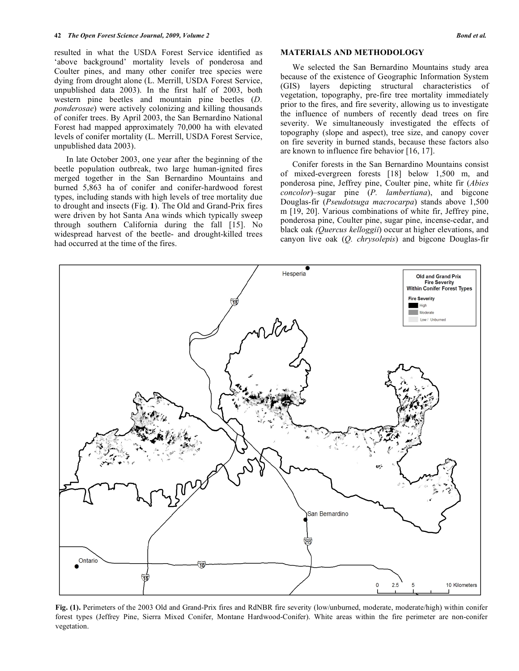resulted in what the USDA Forest Service identified as 'above background' mortality levels of ponderosa and Coulter pines, and many other conifer tree species were dying from drought alone (L. Merrill, USDA Forest Service, unpublished data 2003). In the first half of 2003, both western pine beetles and mountain pine beetles (*D. ponderosae*) were actively colonizing and killing thousands of conifer trees. By April 2003, the San Bernardino National Forest had mapped approximately 70,000 ha with elevated levels of conifer mortality (L. Merrill, USDA Forest Service, unpublished data 2003).

 In late October 2003, one year after the beginning of the beetle population outbreak, two large human-ignited fires merged together in the San Bernardino Mountains and burned 5,863 ha of conifer and conifer-hardwood forest types, including stands with high levels of tree mortality due to drought and insects (Fig. **1**). The Old and Grand-Prix fires were driven by hot Santa Ana winds which typically sweep through southern California during the fall [15]. No widespread harvest of the beetle- and drought-killed trees had occurred at the time of the fires.

# **MATERIALS AND METHODOLOGY**

 We selected the San Bernardino Mountains study area because of the existence of Geographic Information System (GIS) layers depicting structural characteristics of vegetation, topography, pre-fire tree mortality immediately prior to the fires, and fire severity, allowing us to investigate the influence of numbers of recently dead trees on fire severity. We simultaneously investigated the effects of topography (slope and aspect), tree size, and canopy cover on fire severity in burned stands, because these factors also are known to influence fire behavior [16, 17].

Conifer forests in the San Bernardino Mountains consist of mixed-evergreen forests [18] below 1,500 m, and ponderosa pine, Jeffrey pine, Coulter pine, white fir (*Abies concolor*)–sugar pine (*P. lambertiana*), and bigcone Douglas-fir (*Pseudotsuga macrocarpa*) stands above 1,500 m [19, 20]. Various combinations of white fir, Jeffrey pine, ponderosa pine, Coulter pine, sugar pine, incense-cedar, and black oak *(Quercus kelloggii*) occur at higher elevations, and canyon live oak (*Q. chrysolepis*) and bigcone Douglas-fir



**Fig. (1).** Perimeters of the 2003 Old and Grand-Prix fires and RdNBR fire severity (low/unburned, moderate, moderate/high) within conifer forest types (Jeffrey Pine, Sierra Mixed Conifer, Montane Hardwood-Conifer). White areas within the fire perimeter are non-conifer vegetation.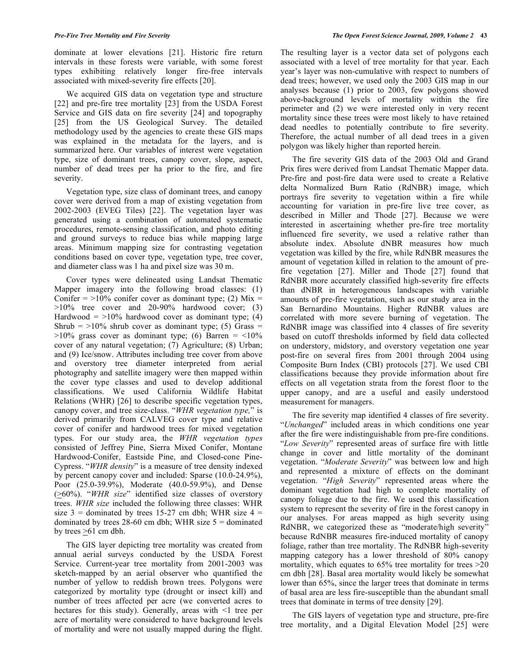dominate at lower elevations [21]. Historic fire return intervals in these forests were variable, with some forest types exhibiting relatively longer fire-free intervals associated with mixed-severity fire effects [20].

 We acquired GIS data on vegetation type and structure [22] and pre-fire tree mortality [23] from the USDA Forest Service and GIS data on fire severity [24] and topography [25] from the US Geological Survey. The detailed methodology used by the agencies to create these GIS maps was explained in the metadata for the layers, and is summarized here. Our variables of interest were vegetation type, size of dominant trees, canopy cover, slope, aspect, number of dead trees per ha prior to the fire, and fire severity.

 Vegetation type, size class of dominant trees, and canopy cover were derived from a map of existing vegetation from 2002-2003 (EVEG Tiles) [22]. The vegetation layer was generated using a combination of automated systematic procedures, remote-sensing classification, and photo editing and ground surveys to reduce bias while mapping large areas. Minimum mapping size for contrasting vegetation conditions based on cover type, vegetation type, tree cover, and diameter class was 1 ha and pixel size was 30 m.

 Cover types were delineated using Landsat Thematic Mapper imagery into the following broad classes: (1) Conifer  $=$  >10% conifer cover as dominant type; (2) Mix  $=$ >10% tree cover and 20-90% hardwood cover; (3) Hardwood  $=$  >10% hardwood cover as dominant type; (4) Shrub  $=$  >10% shrub cover as dominant type; (5) Grass =  $>10\%$  grass cover as dominant type; (6) Barren = <10% cover of any natural vegetation; (7) Agriculture; (8) Urban; and (9) Ice/snow. Attributes including tree cover from above and overstory tree diameter interpreted from aerial photography and satellite imagery were then mapped within the cover type classes and used to develop additional classifications. We used California Wildlife Habitat Relations (WHR) [26] to describe specific vegetation types, canopy cover, and tree size-class. "*WHR vegetation type,*" is derived primarily from CALVEG cover type and relative cover of conifer and hardwood trees for mixed vegetation types. For our study area, the *WHR vegetation types* consisted of Jeffrey Pine, Sierra Mixed Conifer, Montane Hardwood-Conifer, Eastside Pine, and Closed-cone Pine-Cypress. "*WHR density*" is a measure of tree density indexed by percent canopy cover and included: Sparse (10.0-24.9%), Poor (25.0-39.9%), Moderate (40.0-59.9%), and Dense (>60%). "*WHR size*" identified size classes of overstory trees. *WHR size* included the following three classes: WHR size  $3 =$  dominated by trees 15-27 cm dbh; WHR size  $4 =$ dominated by trees  $28-60$  cm dbh; WHR size  $5 =$  dominated by trees  $\geq 61$  cm dbh.

 The GIS layer depicting tree mortality was created from annual aerial surveys conducted by the USDA Forest Service. Current-year tree mortality from 2001-2003 was sketch-mapped by an aerial observer who quantified the number of yellow to reddish brown trees. Polygons were categorized by mortality type (drought or insect kill) and number of trees affected per acre (we converted acres to hectares for this study). Generally, areas with <1 tree per acre of mortality were considered to have background levels of mortality and were not usually mapped during the flight.

The resulting layer is a vector data set of polygons each associated with a level of tree mortality for that year. Each year's layer was non-cumulative with respect to numbers of dead trees; however, we used only the 2003 GIS map in our analyses because (1) prior to 2003, few polygons showed above-background levels of mortality within the fire perimeter and (2) we were interested only in very recent mortality since these trees were most likely to have retained dead needles to potentially contribute to fire severity. Therefore, the actual number of all dead trees in a given polygon was likely higher than reported herein.

 The fire severity GIS data of the 2003 Old and Grand Prix fires were derived from Landsat Thematic Mapper data. Pre-fire and post-fire data were used to create a Relative delta Normalized Burn Ratio (RdNBR) image, which portrays fire severity to vegetation within a fire while accounting for variation in pre-fire live tree cover, as described in Miller and Thode [27]. Because we were interested in ascertaining whether pre-fire tree mortality influenced fire severity, we used a relative rather than absolute index. Absolute dNBR measures how much vegetation was killed by the fire, while RdNBR measures the amount of vegetation killed in relation to the amount of prefire vegetation [27]. Miller and Thode [27] found that RdNBR more accurately classified high-severity fire effects than dNBR in heterogeneous landscapes with variable amounts of pre-fire vegetation, such as our study area in the San Bernardino Mountains. Higher RdNBR values are correlated with more severe burning of vegetation. The RdNBR image was classified into 4 classes of fire severity based on cutoff thresholds informed by field data collected on understory, midstory, and overstory vegetation one year post-fire on several fires from 2001 through 2004 using Composite Burn Index (CBI) protocols [27]. We used CBI classifications because they provide information about fire effects on all vegetation strata from the forest floor to the upper canopy, and are a useful and easily understood measurement for managers.

 The fire severity map identified 4 classes of fire severity. "*Unchanged*" included areas in which conditions one year after the fire were indistinguishable from pre-fire conditions. "*Low Severity*" represented areas of surface fire with little change in cover and little mortality of the dominant vegetation. "*Moderate Severity*" was between low and high and represented a mixture of effects on the dominant vegetation. "*High Severity*" represented areas where the dominant vegetation had high to complete mortality of canopy foliage due to the fire. We used this classification system to represent the severity of fire in the forest canopy in our analyses. For areas mapped as high severity using RdNBR, we categorized these as "moderate/high severity" because RdNBR measures fire-induced mortality of canopy foliage, rather than tree mortality. The RdNBR high-severity mapping category has a lower threshold of 80% canopy mortality, which equates to 65% tree mortality for trees >20 cm dbh [28]. Basal area mortality would likely be somewhat lower than 65%, since the larger trees that dominate in terms of basal area are less fire-susceptible than the abundant small trees that dominate in terms of tree density [29].

 The GIS layers of vegetation type and structure, pre-fire tree mortality, and a Digital Elevation Model [25] were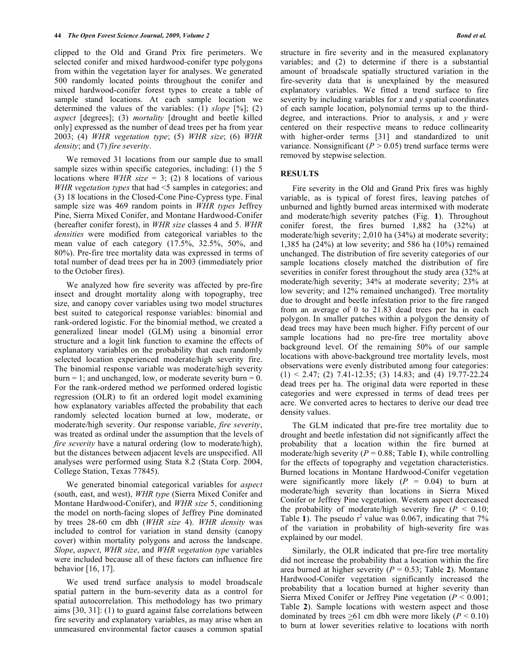clipped to the Old and Grand Prix fire perimeters. We selected conifer and mixed hardwood-conifer type polygons from within the vegetation layer for analyses. We generated 500 randomly located points throughout the conifer and mixed hardwood-conifer forest types to create a table of sample stand locations. At each sample location we determined the values of the variables: (1) *slope* [%]; (2) *aspect* [degrees]; (3) *mortality* [drought and beetle killed only] expressed as the number of dead trees per ha from year 2003; (4) *WHR vegetation type*; (5) *WHR size*; (6) *WHR density*; and (7) *fire severity*.

 We removed 31 locations from our sample due to small sample sizes within specific categories, including: (1) the 5 locations where *WHR size* = 3; (2) 8 locations of various *WHR vegetation types* that had <5 samples in categories; and (3) 18 locations in the Closed-Cone Pine-Cypress type. Final sample size was 469 random points in *WHR types* Jeffrey Pine, Sierra Mixed Conifer, and Montane Hardwood-Conifer (hereafter conifer forest), in *WHR size* classes 4 and 5. *WHR densities* were modified from categorical variables to the mean value of each category (17.5%, 32.5%, 50%, and 80%). Pre-fire tree mortality data was expressed in terms of total number of dead trees per ha in 2003 (immediately prior to the October fires).

 We analyzed how fire severity was affected by pre-fire insect and drought mortality along with topography, tree size, and canopy cover variables using two model structures best suited to categorical response variables: binomial and rank-ordered logistic. For the binomial method, we created a generalized linear model (GLM) using a binomial error structure and a logit link function to examine the effects of explanatory variables on the probability that each randomly selected location experienced moderate/high severity fire. The binomial response variable was moderate/high severity  $burn = 1$ ; and unchanged, low, or moderate severity burn = 0. For the rank-ordered method we performed ordered logistic regression (OLR) to fit an ordered logit model examining how explanatory variables affected the probability that each randomly selected location burned at low, moderate, or moderate/high severity. Our response variable, *fire severity*, was treated as ordinal under the assumption that the levels of *fire severity* have a natural ordering (low to moderate/high), but the distances between adjacent levels are unspecified. All analyses were performed using Stata 8.2 (Stata Corp. 2004, College Station, Texas 77845).

 We generated binomial categorical variables for *aspect* (south, east, and west), *WHR type* (Sierra Mixed Conifer and Montane Hardwood-Conifer), and *WHR size* 5, conditioning the model on north-facing slopes of Jeffrey Pine dominated by trees 28-60 cm dbh (*WHR size* 4). *WHR density* was included to control for variation in stand density (canopy cover) within mortality polygons and across the landscape. *Slope*, *aspect*, *WHR size*, and *WHR vegetation type* variables were included because all of these factors can influence fire behavior [16, 17].

 We used trend surface analysis to model broadscale spatial pattern in the burn-severity data as a control for spatial autocorrelation. This methodology has two primary aims [30, 31]: (1) to guard against false correlations between fire severity and explanatory variables, as may arise when an unmeasured environmental factor causes a common spatial

structure in fire severity and in the measured explanatory variables; and (2) to determine if there is a substantial amount of broadscale spatially structured variation in the fire-severity data that is unexplained by the measured explanatory variables. We fitted a trend surface to fire severity by including variables for *x* and *y* spatial coordinates of each sample location, polynomial terms up to the thirddegree, and interactions. Prior to analysis, *x* and *y* were centered on their respective means to reduce collinearity with higher-order terms [31] and standardized to unit variance. Nonsignificant ( $P > 0.05$ ) trend surface terms were removed by stepwise selection.

## **RESULTS**

 Fire severity in the Old and Grand Prix fires was highly variable, as is typical of forest fires, leaving patches of unburned and lightly burned areas intermixed with moderate and moderate/high severity patches (Fig. **1**). Throughout conifer forest, the fires burned 1,882 ha (32%) at moderate/high severity; 2,010 ha (34%) at moderate severity; 1,385 ha (24%) at low severity; and 586 ha (10%) remained unchanged. The distribution of fire severity categories of our sample locations closely matched the distribution of fire severities in conifer forest throughout the study area (32% at moderate/high severity; 34% at moderate severity; 23% at low severity; and 12% remained unchanged). Tree mortality due to drought and beetle infestation prior to the fire ranged from an average of 0 to 21.83 dead trees per ha in each polygon. In smaller patches within a polygon the density of dead trees may have been much higher. Fifty percent of our sample locations had no pre-fire tree mortality above background level. Of the remaining 50% of our sample locations with above-background tree mortality levels, most observations were evenly distributed among four categories:  $(1)$  < 2.47; (2) 7.41-12.35; (3) 14.83; and (4) 19.77-22.24 dead trees per ha. The original data were reported in these categories and were expressed in terms of dead trees per acre. We converted acres to hectares to derive our dead tree density values.

 The GLM indicated that pre-fire tree mortality due to drought and beetle infestation did not significantly affect the probability that a location within the fire burned at moderate/high severity  $(P = 0.88$ ; Table 1), while controlling for the effects of topography and vegetation characteristics. Burned locations in Montane Hardwood-Conifer vegetation were significantly more likely  $(P = 0.04)$  to burn at moderate/high severity than locations in Sierra Mixed Conifer or Jeffrey Pine vegetation. Western aspect decreased the probability of moderate/high severity fire  $(P < 0.10)$ ; Table 1). The pseudo  $r^2$  value was 0.067, indicating that  $7\%$ of the variation in probability of high-severity fire was explained by our model.

 Similarly, the OLR indicated that pre-fire tree mortality did not increase the probability that a location within the fire area burned at higher severity ( $P = 0.53$ ; Table 2). Montane Hardwood-Conifer vegetation significantly increased the probability that a location burned at higher severity than Sierra Mixed Conifer or Jeffrey Pine vegetation (*P* < 0.001; Table **2**). Sample locations with western aspect and those dominated by trees  $>61$  cm dbh were more likely ( $P < 0.10$ ) to burn at lower severities relative to locations with north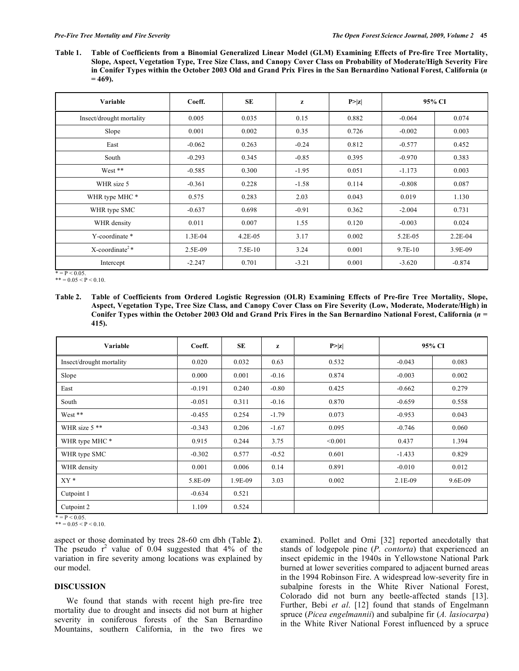**Table 1. Table of Coefficients from a Binomial Generalized Linear Model (GLM) Examining Effects of Pre-fire Tree Mortality, Slope, Aspect, Vegetation Type, Tree Size Class, and Canopy Cover Class on Probability of Moderate/High Severity Fire in Conifer Types within the October 2003 Old and Grand Prix Fires in the San Bernardino National Forest, California (***n*  **= 469).** 

| Variable                       | Coeff.   | <b>SE</b>  | z       | P >  z | 95% CI   |           |
|--------------------------------|----------|------------|---------|--------|----------|-----------|
| Insect/drought mortality       | 0.005    | 0.035      | 0.15    | 0.882  | $-0.064$ | 0.074     |
| Slope                          | 0.001    | 0.002      | 0.35    | 0.726  | $-0.002$ | 0.003     |
| East                           | $-0.062$ | 0.263      | $-0.24$ | 0.812  | $-0.577$ | 0.452     |
| South                          | $-0.293$ | 0.345      | $-0.85$ | 0.395  | $-0.970$ | 0.383     |
| West **                        | $-0.585$ | 0.300      | $-1.95$ | 0.051  | $-1.173$ | 0.003     |
| WHR size 5                     | $-0.361$ | 0.228      | $-1.58$ | 0.114  | $-0.808$ | 0.087     |
| WHR type MHC *                 | 0.575    | 0.283      | 2.03    | 0.043  | 0.019    | 1.130     |
| WHR type SMC                   | $-0.637$ | 0.698      | $-0.91$ | 0.362  | $-2.004$ | 0.731     |
| WHR density                    | 0.011    | 0.007      | 1.55    | 0.120  | $-0.003$ | 0.024     |
| Y-coordinate *                 | 1.3E-04  | $4.2E-0.5$ | 3.17    | 0.002  | 5.2E-05  | $2.2E-04$ |
| $X$ -coordinate <sup>2</sup> * | 2.5E-09  | $7.5E-10$  | 3.24    | 0.001  | 9.7E-10  | 3.9E-09   |
| Intercept                      | $-2.247$ | 0.701      | $-3.21$ | 0.001  | $-3.620$ | $-0.874$  |

 $* = P < 0.05$ 

 $*** = 0.05 < P < 0.10$ .

**Table 2. Table of Coefficients from Ordered Logistic Regression (OLR) Examining Effects of Pre-fire Tree Mortality, Slope, Aspect, Vegetation Type, Tree Size Class, and Canopy Cover Class on Fire Severity (Low, Moderate, Moderate/High) in Conifer Types within the October 2003 Old and Grand Prix Fires in the San Bernardino National Forest, California (***n* **= 415).** 

| Variable                 | Coeff.   | SE      | z       | P >  z  | 95% CI    |         |
|--------------------------|----------|---------|---------|---------|-----------|---------|
| Insect/drought mortality | 0.020    | 0.032   | 0.63    | 0.532   | $-0.043$  | 0.083   |
| Slope                    | 0.000    | 0.001   | $-0.16$ | 0.874   | $-0.003$  | 0.002   |
| East                     | $-0.191$ | 0.240   | $-0.80$ | 0.425   | $-0.662$  | 0.279   |
| South                    | $-0.051$ | 0.311   | $-0.16$ | 0.870   | $-0.659$  | 0.558   |
| West **                  | $-0.455$ | 0.254   | $-1.79$ | 0.073   | $-0.953$  | 0.043   |
| WHR size 5 **            | $-0.343$ | 0.206   | $-1.67$ | 0.095   | $-0.746$  | 0.060   |
| WHR type MHC *           | 0.915    | 0.244   | 3.75    | < 0.001 | 0.437     | 1.394   |
| WHR type SMC             | $-0.302$ | 0.577   | $-0.52$ | 0.601   | $-1.433$  | 0.829   |
| WHR density              | 0.001    | 0.006   | 0.14    | 0.891   | $-0.010$  | 0.012   |
| $XY*$                    | 5.8E-09  | 1.9E-09 | 3.03    | 0.002   | $2.1E-09$ | 9.6E-09 |
| Cutpoint 1               | $-0.634$ | 0.521   |         |         |           |         |
| Cutpoint 2               | 1.109    | 0.524   |         |         |           |         |

 $* = P < 0.05$ .  $*** = 0.05 < P < 0.10$ .

aspect or those dominated by trees 28-60 cm dbh (Table **2**). The pseudo  $r^2$  value of 0.04 suggested that 4% of the variation in fire severity among locations was explained by our model.

# **DISCUSSION**

 We found that stands with recent high pre-fire tree mortality due to drought and insects did not burn at higher severity in coniferous forests of the San Bernardino Mountains, southern California, in the two fires we examined. Pollet and Omi [32] reported anecdotally that stands of lodgepole pine (*P. contorta*) that experienced an insect epidemic in the 1940s in Yellowstone National Park burned at lower severities compared to adjacent burned areas in the 1994 Robinson Fire. A widespread low-severity fire in subalpine forests in the White River National Forest, Colorado did not burn any beetle-affected stands [13]. Further, Bebi *et al*. [12] found that stands of Engelmann spruce (*Picea engelmannii*) and subalpine fir (*A. lasiocarpa*) in the White River National Forest influenced by a spruce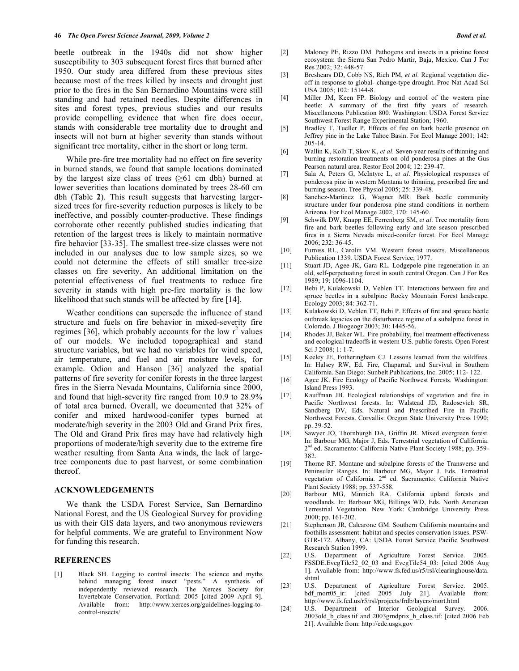beetle outbreak in the 1940s did not show higher susceptibility to 303 subsequent forest fires that burned after 1950. Our study area differed from these previous sites because most of the trees killed by insects and drought just prior to the fires in the San Bernardino Mountains were still standing and had retained needles. Despite differences in sites and forest types, previous studies and our results provide compelling evidence that when fire does occur, stands with considerable tree mortality due to drought and insects will not burn at higher severity than stands without significant tree mortality, either in the short or long term.

 While pre-fire tree mortality had no effect on fire severity in burned stands, we found that sample locations dominated by the largest size class of trees (>61 cm dbh) burned at lower severities than locations dominated by trees 28-60 cm dbh (Table **2**). This result suggests that harvesting largersized trees for fire-severity reduction purposes is likely to be ineffective, and possibly counter-productive. These findings corroborate other recently published studies indicating that retention of the largest trees is likely to maintain normative fire behavior [33-35]. The smallest tree-size classes were not included in our analyses due to low sample sizes, so we could not determine the effects of still smaller tree-size classes on fire severity. An additional limitation on the potential effectiveness of fuel treatments to reduce fire severity in stands with high pre-fire mortality is the low likelihood that such stands will be affected by fire [14].

 Weather conditions can supersede the influence of stand structure and fuels on fire behavior in mixed-severity fire regimes [36], which probably accounts for the low  $r^2$  values of our models. We included topographical and stand structure variables, but we had no variables for wind speed, air temperature, and fuel and air moisture levels, for example. Odion and Hanson [36] analyzed the spatial patterns of fire severity for conifer forests in the three largest fires in the Sierra Nevada Mountains, California since 2000, and found that high-severity fire ranged from 10.9 to 28.9% of total area burned. Overall, we documented that 32% of conifer and mixed hardwood-conifer types burned at moderate/high severity in the 2003 Old and Grand Prix fires. The Old and Grand Prix fires may have had relatively high proportions of moderate/high severity due to the extreme fire weather resulting from Santa Ana winds, the lack of largetree components due to past harvest, or some combination thereof.

# **ACKNOWLEDGEMENTS**

 We thank the USDA Forest Service, San Bernardino National Forest, and the US Geological Survey for providing us with their GIS data layers, and two anonymous reviewers for helpful comments. We are grateful to Environment Now for funding this research.

#### **REFERENCES**

[1] Black SH. Logging to control insects: The science and myths behind managing forest insect "pests." A synthesis of independently reviewed research. The Xerces Society for Invertebrate Conservation. Portland: 2005 [cited 2009 April 9]. Available from: http://www.xerces.org/guidelines-logging-tocontrol-insects/

- [2] Maloney PE, Rizzo DM. Pathogens and insects in a pristine forest ecosystem: the Sierra San Pedro Martir, Baja, Mexico. Can J For Res 2002; 32: 448-57.
- [3] Breshears DD, Cobb NS, Rich PM, *et al*. Regional vegetation dieoff in response to global- change-type drought. Proc Nat Acad Sci USA 2005; 102: 15144-8.
- [4] Miller JM, Keen FP. Biology and control of the western pine beetle: A summary of the first fifty years of research. Miscellaneous Publication 800. Washington: USDA Forest Service Southwest Forest Range Experimental Station; 1960.
- [5] Bradley T, Tueller P. Effects of fire on bark beetle presence on Jeffrey pine in the Lake Tahoe Basin. For Ecol Manage 2001; 142: 205-14.
- [6] Wallin K, Kolb T, Skov K, *et al*. Seven-year results of thinning and burning restoration treatments on old ponderosa pines at the Gus Pearson natural area. Restor Ecol 2004; 12: 239-47.
- [7] Sala A, Peters G, McIntyre L, *et al*. Physiological responses of ponderosa pine in western Montana to thinning, prescribed fire and burning season. Tree Physiol 2005; 25: 339-48.
- [8] Sanchez-Martinez G, Wagner MR. Bark beetle community structure under four ponderosa pine stand conditions in northern Arizona. For Ecol Manage 2002; 170: 145-60.
- [9] Schwilk DW, Knapp EE, Ferrenberg SM, *et al*. Tree mortality from fire and bark beetles following early and late season prescribed fires in a Sierra Nevada mixed-conifer forest. For Ecol Manage 2006; 232: 36-45.
- [10] Furniss RL, Carolin VM. Western forest insects. Miscellaneous Publication 1339. USDA Forest Service; 1977.
- [11] Stuart JD, Agee JK, Gara RL. Lodgepole pine regeneration in an old, self-perpetuating forest in south central Oregon. Can J For Res 1989; 19: 1096-1104.
- [12] Bebi P, Kulakowski D, Veblen TT. Interactions between fire and spruce beetles in a subalpine Rocky Mountain Forest landscape. Ecology 2003; 84: 362-71.
- [13] Kulakowski D, Veblen TT, Bebi P. Effects of fire and spruce beetle outbreak legacies on the disturbance regime of a subalpine forest in Colorado. J Biogeogr 2003; 30: 1445-56.
- [14] Rhodes JJ, Baker WL. Fire probability, fuel treatment effectiveness and ecological tradeoffs in western U.S. public forests. Open Forest Sci J 2008; 1: 1-7.
- [15] Keeley JE, Fotheringham CJ. Lessons learned from the wildfires. In: Halsey RW, Ed. Fire, Chaparral, and Survival in Southern California. San Diego: Sunbelt Publications, Inc. 2005; 112- 122.
- [16] Agee JK. Fire Ecology of Pacific Northwest Forests. Washington: Island Press 1993.
- [17] Kauffman JB. Ecological relationships of vegetation and fire in Pacific Northwest forests. In: Walstead JD, Radosevich SR, Sandberg DV, Eds. Natural and Prescribed Fire in Pacific Northwest Forests. Corvallis: Oregon State University Press 1990; pp. 39-52.
- [18] Sawyer JO, Thornburgh DA, Griffin JR. Mixed evergreen forest. In: Barbour MG, Major J, Eds. Terrestrial vegetation of California. 2<sup>nd</sup> ed. Sacramento: California Native Plant Society 1988; pp. 359-382.
- [19] Thorne RF. Montane and subalpine forests of the Transverse and Peninsular Ranges. In: Barbour MG, Major J. Eds. Terrestrial vegetation of California. 2nd ed. Sacramento: California Native Plant Society 1988; pp. 537-558.
- [20] Barbour MG, Minnich RA. California upland forests and woodlands. In: Barbour MG, Billings WD, Eds. North American Terrestrial Vegetation. New York: Cambridge University Press 2000; pp. 161-202.
- [21] Stephenson JR, Calcarone GM. Southern California mountains and foothills assessment: habitat and species conservation issues. PSW-GTR-172. Albany, CA: USDA Forest Service Pacific Southwest Research Station 1999.
- [22] U.S. Department of Agriculture Forest Service. 2005. FSSDE.EvegTile52\_02\_03 and EvegTile54\_03: [cited 2006 Aug 1]. Available from: http://www.fs.fed.us/r5/rsl/clearinghouse/data. shtml
- [23] U.S. Department of Agriculture Forest Service. 2005. bdf\_mort05\_ir: [cited 2005 July 21]. Available from: http://www.fs.fed.us/r5/rsl/projects/frdb/layers/mort.html
- [24] U.S. Department of Interior Geological Survey. 2006. 2003old b class.tif and 2003grndprix b class.tif: [cited 2006 Feb 21]. Available from: http://edc.usgs.gov